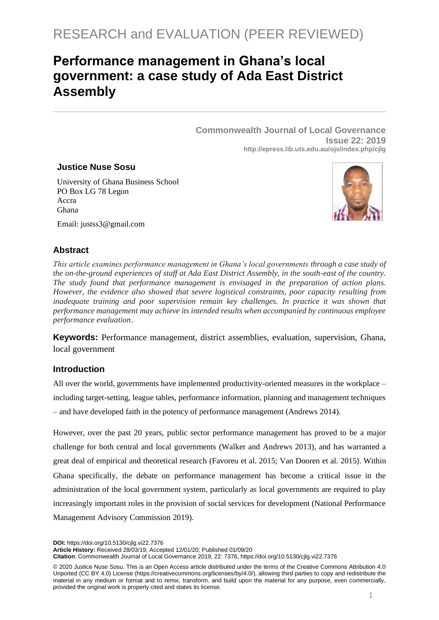# **Performance management in Ghana's local government: a case study of Ada East District Assembly**

**Commonwealth Journal of Local Governance Issue 22: 2019 http://epress.lib.uts.edu.au/ojs/index.php/cjlg**

### **Justice Nuse Sosu**

University of Ghana Business School PO Box LG 78 Legon Accra Ghana Email: justss3@gmail.com



# **Abstract**

*This article examines performance management in Ghana's local governments through a case study of the on-the-ground experiences of staff at Ada East District Assembly, in the south-east of the country. The study found that performance management is envisaged in the preparation of action plans. However, the evidence also showed that severe logistical constraints, poor capacity resulting from inadequate training and poor supervision remain key challenges. In practice it was shown that performance management may achieve its intended results when accompanied by continuous employee performance evaluation*.

**Keywords:** Performance management, district assemblies, evaluation, supervision, Ghana, local government

## **Introduction**

All over the world, governments have implemented productivity-oriented measures in the workplace – including target-setting, league tables, performance information, planning and management techniques – and have developed faith in the potency of performance management (Andrews 2014).

However, over the past 20 years, public sector performance management has proved to be a major challenge for both central and local governments (Walker and Andrews 2013), and has warranted a great deal of empirical and theoretical research (Favoreu et al. 2015; Van Dooren et al. 2015). Within Ghana specifically, the debate on performance management has become a critical issue in the administration of the local government system, particularly as local governments are required to play increasingly important roles in the provision of social services for development (National Performance Management Advisory Commission 2019).

**DOI:** https://doi.org/10.5130/cjlg.vi22.7376

**Article History:** Received 28/03/19; Accepted 12/01/20; Published 01/09/20

**Citation**: Commonwealth Journal of Local Governance 2019, 22: 7376, https://doi.org/10.5130/cjlg.vi22.7376

<sup>© 2020</sup> Justice Nuse Sosu. This is an Open Access article distributed under the terms of the Creative Commons Attribution 4.0 Unported (CC BY 4.0) License [\(https://creativecommons.org/licenses/by/4.0/\)](https://creativecommons.org/licenses/by/4.0/), allowing third parties to copy and redistribute the material in any medium or format and to remix, transform, and build upon the material for any purpose, even commercially, provided the original work is properly cited and states its license.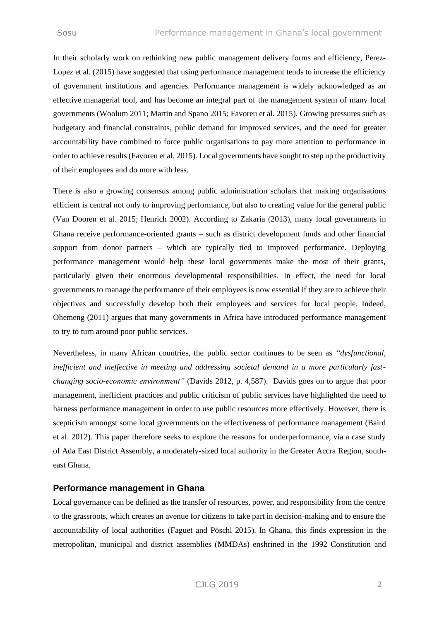In their scholarly work on rethinking new public management delivery forms and efficiency, Perez-Lopez et al. (2015) have suggested that using performance management tends to increase the efficiency of government institutions and agencies. Performance management is widely acknowledged as an effective managerial tool, and has become an integral part of the management system of many local governments (Woolum 2011; Martin and Spano 2015; Favoreu et al. 2015). Growing pressures such as budgetary and financial constraints, public demand for improved services, and the need for greater accountability have combined to force public organisations to pay more attention to performance in order to achieve results (Favoreu et al. 2015). Local governments have sought to step up the productivity of their employees and do more with less.

There is also a growing consensus among public administration scholars that making organisations efficient is central not only to improving performance, but also to creating value for the general public (Van Dooren et al. 2015; Henrich 2002). According to Zakaria (2013), many local governments in Ghana receive performance-oriented grants – such as district development funds and other financial support from donor partners – which are typically tied to improved performance. Deploying performance management would help these local governments make the most of their grants, particularly given their enormous developmental responsibilities. In effect, the need for local governments to manage the performance of their employees is now essential if they are to achieve their objectives and successfully develop both their employees and services for local people. Indeed, Ohemeng (2011) argues that many governments in Africa have introduced performance management to try to turn around poor public services.

Nevertheless, in many African countries, the public sector continues to be seen as *"dysfunctional, inefficient and ineffective in meeting and addressing societal demand in a more particularly fastchanging socio-economic environment"* (Davids 2012, p. 4,587). Davids goes on to argue that poor management, inefficient practices and public criticism of public services have highlighted the need to harness performance management in order to use public resources more effectively. However, there is scepticism amongst some local governments on the effectiveness of performance management (Baird et al. 2012). This paper therefore seeks to explore the reasons for underperformance, via a case study of Ada East District Assembly, a moderately-sized local authority in the Greater Accra Region, southeast Ghana.

#### **Performance management in Ghana**

Local governance can be defined as the transfer of resources, power, and responsibility from the centre to the grassroots, which creates an avenue for citizens to take part in decision-making and to ensure the accountability of local authorities (Faguet and Pöschl 2015). In Ghana, this finds expression in the metropolitan, municipal and district assemblies (MMDAs) enshrined in the 1992 Constitution and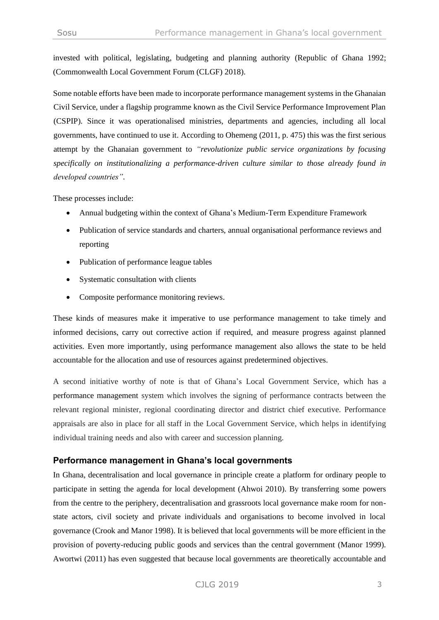invested with political, legislating, budgeting and planning authority (Republic of Ghana 1992; (Commonwealth Local Government Forum (CLGF) 2018).

Some notable efforts have been made to incorporate performance management systems in the Ghanaian Civil Service, under a flagship programme known as the Civil Service Performance Improvement Plan (CSPIP). Since it was operationalised ministries, departments and agencies, including all local governments, have continued to use it. According to Ohemeng (2011, p. 475) this was the first serious attempt by the Ghanaian government to *"revolutionize public service organizations by focusing specifically on institutionalizing a performance-driven culture similar to those already found in developed countries".*

These processes include:

- Annual budgeting within the context of Ghana's Medium-Term Expenditure Framework
- Publication of service standards and charters, annual organisational performance reviews and reporting
- Publication of performance league tables
- Systematic consultation with clients
- Composite performance monitoring reviews.

These kinds of measures make it imperative to use performance management to take timely and informed decisions, carry out corrective action if required, and measure progress against planned activities. Even more importantly, using performance management also allows the state to be held accountable for the allocation and use of resources against predetermined objectives.

A second initiative worthy of note is that of Ghana's Local Government Service, which has a performance management system which involves the signing of performance contracts between the relevant regional minister, regional coordinating director and district chief executive. Performance appraisals are also in place for all staff in the Local Government Service, which helps in identifying individual training needs and also with career and succession planning.

### **Performance management in Ghana's local governments**

In Ghana, decentralisation and local governance in principle create a platform for ordinary people to participate in setting the agenda for local development (Ahwoi 2010). By transferring some powers from the centre to the periphery, decentralisation and grassroots local governance make room for nonstate actors, civil society and private individuals and organisations to become involved in local governance (Crook and Manor 1998). It is believed that local governments will be more efficient in the provision of poverty-reducing public goods and services than the central government (Manor 1999). Awortwi (2011) has even suggested that because local governments are theoretically accountable and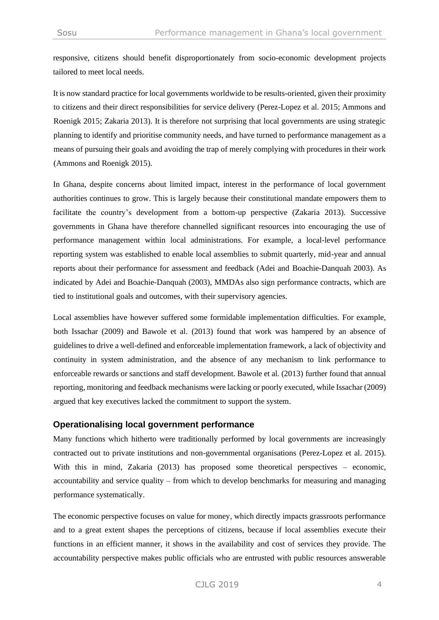responsive, citizens should benefit disproportionately from socio-economic development projects tailored to meet local needs.

It is now standard practice for local governments worldwide to be results-oriented, given their proximity to citizens and their direct responsibilities for service delivery (Perez-Lopez et al. 2015; Ammons and Roenigk 2015; Zakaria 2013). It is therefore not surprising that local governments are using strategic planning to identify and prioritise community needs, and have turned to performance management as a means of pursuing their goals and avoiding the trap of merely complying with procedures in their work (Ammons and Roenigk 2015).

In Ghana, despite concerns about limited impact, interest in the performance of local government authorities continues to grow. This is largely because their constitutional mandate empowers them to facilitate the country's development from a bottom-up perspective (Zakaria 2013). Successive governments in Ghana have therefore channelled significant resources into encouraging the use of performance management within local administrations. For example, a local-level performance reporting system was established to enable local assemblies to submit quarterly, mid-year and annual reports about their performance for assessment and feedback (Adei and Boachie-Danquah 2003). As indicated by Adei and Boachie-Danquah (2003), MMDAs also sign performance contracts, which are tied to institutional goals and outcomes, with their supervisory agencies.

Local assemblies have however suffered some formidable implementation difficulties. For example, both Issachar (2009) and Bawole et al. (2013) found that work was hampered by an absence of guidelines to drive a well-defined and enforceable implementation framework, a lack of objectivity and continuity in system administration, and the absence of any mechanism to link performance to enforceable rewards or sanctions and staff development. Bawole et al. (2013) further found that annual reporting, monitoring and feedback mechanisms were lacking or poorly executed, while Issachar (2009) argued that key executives lacked the commitment to support the system.

### **Operationalising local government performance**

Many functions which hitherto were traditionally performed by local governments are increasingly contracted out to private institutions and non-governmental organisations (Perez-Lopez et al. 2015). With this in mind, Zakaria (2013) has proposed some theoretical perspectives – economic, accountability and service quality – from which to develop benchmarks for measuring and managing performance systematically.

The economic perspective focuses on value for money, which directly impacts grassroots performance and to a great extent shapes the perceptions of citizens, because if local assemblies execute their functions in an efficient manner, it shows in the availability and cost of services they provide. The accountability perspective makes public officials who are entrusted with public resources answerable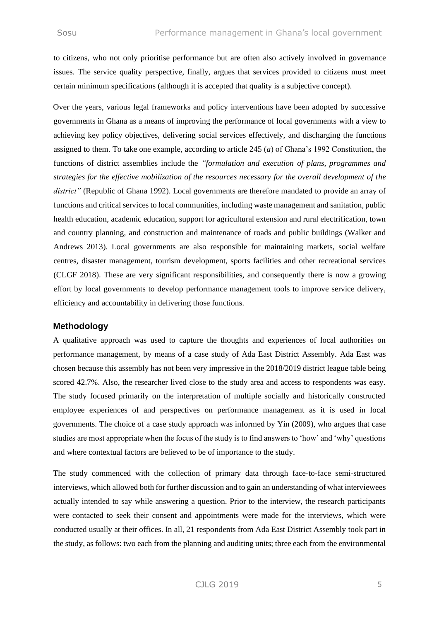to citizens, who not only prioritise performance but are often also actively involved in governance issues. The service quality perspective, finally, argues that services provided to citizens must meet certain minimum specifications (although it is accepted that quality is a subjective concept).

Over the years, various legal frameworks and policy interventions have been adopted by successive governments in Ghana as a means of improving the performance of local governments with a view to achieving key policy objectives, delivering social services effectively, and discharging the functions assigned to them. To take one example, according to article 245 (*a*) of Ghana's 1992 Constitution, the functions of district assemblies include the *"formulation and execution of plans, programmes and strategies for the effective mobilization of the resources necessary for the overall development of the district"* (Republic of Ghana 1992). Local governments are therefore mandated to provide an array of functions and critical services to local communities, including waste management and sanitation, public health education, academic education, support for agricultural extension and rural electrification, town and country planning, and construction and maintenance of roads and public buildings (Walker and Andrews 2013). Local governments are also responsible for maintaining markets, social welfare centres, disaster management, tourism development, sports facilities and other recreational services (CLGF 2018). These are very significant responsibilities, and consequently there is now a growing effort by local governments to develop performance management tools to improve service delivery, efficiency and accountability in delivering those functions.

### **Methodology**

A qualitative approach was used to capture the thoughts and experiences of local authorities on performance management, by means of a case study of Ada East District Assembly. Ada East was chosen because this assembly has not been very impressive in the 2018/2019 district league table being scored 42.7%. Also, the researcher lived close to the study area and access to respondents was easy. The study focused primarily on the interpretation of multiple socially and historically constructed employee experiences of and perspectives on performance management as it is used in local governments. The choice of a case study approach was informed by Yin (2009), who argues that case studies are most appropriate when the focus of the study is to find answers to 'how' and 'why' questions and where contextual factors are believed to be of importance to the study.

The study commenced with the collection of primary data through face-to-face semi-structured interviews, which allowed both for further discussion and to gain an understanding of what interviewees actually intended to say while answering a question. Prior to the interview, the research participants were contacted to seek their consent and appointments were made for the interviews, which were conducted usually at their offices. In all, 21 respondents from Ada East District Assembly took part in the study, as follows: two each from the planning and auditing units; three each from the environmental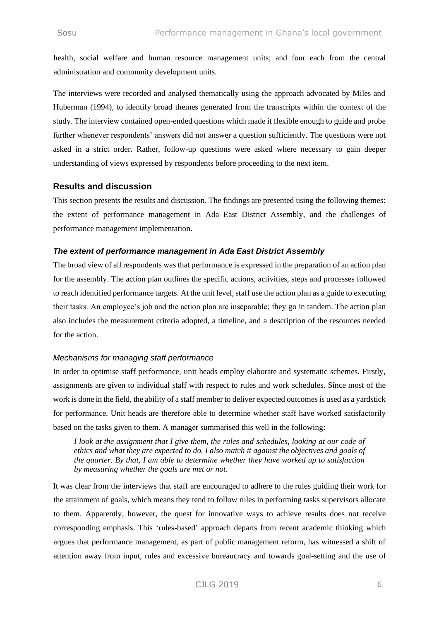health, social welfare and human resource management units; and four each from the central administration and community development units.

The interviews were recorded and analysed thematically using the approach advocated by Miles and Huberman (1994), to identify broad themes generated from the transcripts within the context of the study. The interview contained open-ended questions which made it flexible enough to guide and probe further whenever respondents' answers did not answer a question sufficiently. The questions were not asked in a strict order. Rather, follow-up questions were asked where necessary to gain deeper understanding of views expressed by respondents before proceeding to the next item.

#### **Results and discussion**

This section presents the results and discussion. The findings are presented using the following themes: the extent of performance management in Ada East District Assembly, and the challenges of performance management implementation.

#### *The extent of performance management in Ada East District Assembly*

The broad view of all respondents was that performance is expressed in the preparation of an action plan for the assembly. The action plan outlines the specific actions, activities, steps and processes followed to reach identified performance targets. At the unit level, staff use the action plan as a guide to executing their tasks. An employee's job and the action plan are inseparable; they go in tandem. The action plan also includes the measurement criteria adopted, a timeline, and a description of the resources needed for the action.

### *Mechanisms for managing staff performance*

In order to optimise staff performance, unit heads employ elaborate and systematic schemes. Firstly, assignments are given to individual staff with respect to rules and work schedules. Since most of the work is done in the field, the ability of a staff member to deliver expected outcomes is used as a yardstick for performance. Unit heads are therefore able to determine whether staff have worked satisfactorily based on the tasks given to them. A manager summarised this well in the following:

*I look at the assignment that I give them, the rules and schedules, looking at our code of ethics and what they are expected to do. I also match it against the objectives and goals of the quarter. By that, I am able to determine whether they have worked up to satisfaction by measuring whether the goals are met or not.*

It was clear from the interviews that staff are encouraged to adhere to the rules guiding their work for the attainment of goals, which means they tend to follow rules in performing tasks supervisors allocate to them. Apparently, however, the quest for innovative ways to achieve results does not receive corresponding emphasis. This 'rules-based' approach departs from recent academic thinking which argues that performance management, as part of public management reform, has witnessed a shift of attention away from input, rules and excessive bureaucracy and towards goal-setting and the use of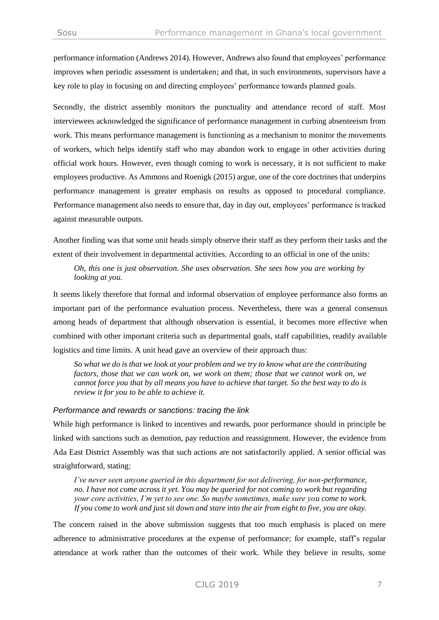performance information (Andrews 2014). However, Andrews also found that employees' performance improves when periodic assessment is undertaken; and that, in such environments, supervisors have a key role to play in focusing on and directing employees' performance towards planned goals.

Secondly, the district assembly monitors the punctuality and attendance record of staff. Most interviewees acknowledged the significance of performance management in curbing absenteeism from work. This means performance management is functioning as a mechanism to monitor the movements of workers, which helps identify staff who may abandon work to engage in other activities during official work hours. However, even though coming to work is necessary, it is not sufficient to make employees productive. As Ammons and Roenigk (2015) argue, one of the core doctrines that underpins performance management is greater emphasis on results as opposed to procedural compliance. Performance management also needs to ensure that, day in day out, employees' performance is tracked against measurable outputs.

Another finding was that some unit heads simply observe their staff as they perform their tasks and the extent of their involvement in departmental activities. According to an official in one of the units:

*Oh, this one is just observation. She uses observation. She sees how you are working by looking at you.*

It seems likely therefore that formal and informal observation of employee performance also forms an important part of the performance evaluation process. Nevertheless, there was a general consensus among heads of department that although observation is essential, it becomes more effective when combined with other important criteria such as departmental goals, staff capabilities, readily available logistics and time limits. A unit head gave an overview of their approach thus:

*So what we do is that we look at your problem and we try to know what are the contributing factors, those that we can work on, we work on them; those that we cannot work on, we cannot force you that by all means you have to achieve that target. So the best way to do is review it for you to be able to achieve it.*

#### *Performance and rewards or sanctions: tracing the link*

While high performance is linked to incentives and rewards, poor performance should in principle be linked with sanctions such as demotion, pay reduction and reassignment. However, the evidence from Ada East District Assembly was that such actions are not satisfactorily applied. A senior official was straightforward, stating:

*I've never seen anyone queried in this department for not delivering, for non-performance, no. I have not come across it yet. You may be queried for not coming to work but regarding your core activities, I'm yet to see one. So maybe sometimes, make sure you come to work. If you come to work and just sit down and stare into the air from eight to five, you are okay.* 

The concern raised in the above submission suggests that too much emphasis is placed on mere adherence to administrative procedures at the expense of performance; for example, staff's regular attendance at work rather than the outcomes of their work. While they believe in results, some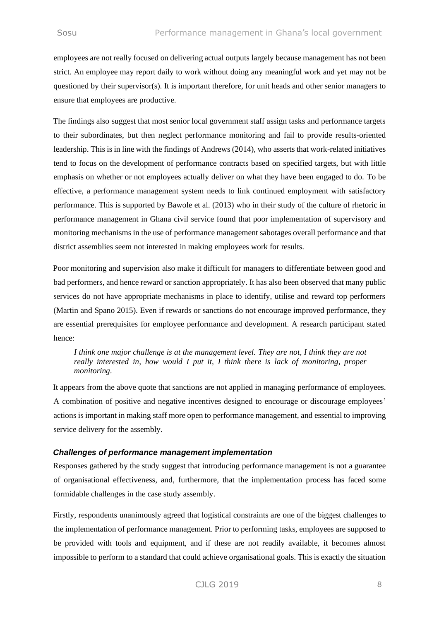employees are not really focused on delivering actual outputs largely because management has not been strict. An employee may report daily to work without doing any meaningful work and yet may not be questioned by their supervisor(s). It is important therefore, for unit heads and other senior managers to ensure that employees are productive.

The findings also suggest that most senior local government staff assign tasks and performance targets to their subordinates, but then neglect performance monitoring and fail to provide results-oriented leadership. This is in line with the findings of Andrews (2014), who asserts that work-related initiatives tend to focus on the development of performance contracts based on specified targets, but with little emphasis on whether or not employees actually deliver on what they have been engaged to do. To be effective, a performance management system needs to link continued employment with satisfactory performance. This is supported by Bawole et al. (2013) who in their study of the culture of rhetoric in performance management in Ghana civil service found that poor implementation of supervisory and monitoring mechanisms in the use of performance management sabotages overall performance and that district assemblies seem not interested in making employees work for results.

Poor monitoring and supervision also make it difficult for managers to differentiate between good and bad performers, and hence reward or sanction appropriately. It has also been observed that many public services do not have appropriate mechanisms in place to identify, utilise and reward top performers (Martin and Spano 2015). Even if rewards or sanctions do not encourage improved performance, they are essential prerequisites for employee performance and development. A research participant stated hence:

*I think one major challenge is at the management level. They are not, I think they are not really interested in, how would I put it, I think there is lack of monitoring, proper monitoring.*

It appears from the above quote that sanctions are not applied in managing performance of employees. A combination of positive and negative incentives designed to encourage or discourage employees' actions is important in making staff more open to performance management, and essential to improving service delivery for the assembly.

### *Challenges of performance management implementation*

Responses gathered by the study suggest that introducing performance management is not a guarantee of organisational effectiveness, and, furthermore, that the implementation process has faced some formidable challenges in the case study assembly.

Firstly, respondents unanimously agreed that logistical constraints are one of the biggest challenges to the implementation of performance management. Prior to performing tasks, employees are supposed to be provided with tools and equipment, and if these are not readily available, it becomes almost impossible to perform to a standard that could achieve organisational goals. This is exactly the situation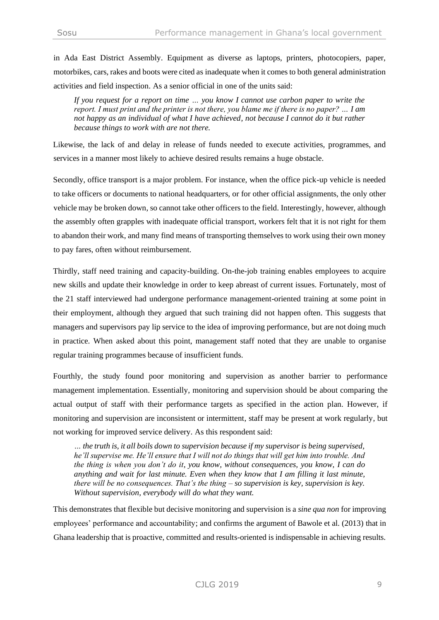in Ada East District Assembly. Equipment as diverse as laptops, printers, photocopiers, paper, motorbikes, cars, rakes and boots were cited as inadequate when it comes to both general administration activities and field inspection. As a senior official in one of the units said:

*If you request for a report on time … you know I cannot use carbon paper to write the report. I must print and the printer is not there, you blame me if there is no paper? … I am not happy as an individual of what I have achieved, not because I cannot do it but rather because things to work with are not there.*

Likewise, the lack of and delay in release of funds needed to execute activities, programmes, and services in a manner most likely to achieve desired results remains a huge obstacle.

Secondly, office transport is a major problem. For instance, when the office pick-up vehicle is needed to take officers or documents to national headquarters, or for other official assignments, the only other vehicle may be broken down, so cannot take other officers to the field. Interestingly, however, although the assembly often grapples with inadequate official transport, workers felt that it is not right for them to abandon their work, and many find means of transporting themselves to work using their own money to pay fares, often without reimbursement.

Thirdly, staff need training and capacity-building. On-the-job training enables employees to acquire new skills and update their knowledge in order to keep abreast of current issues. Fortunately, most of the 21 staff interviewed had undergone performance management-oriented training at some point in their employment, although they argued that such training did not happen often. This suggests that managers and supervisors pay lip service to the idea of improving performance, but are not doing much in practice. When asked about this point, management staff noted that they are unable to organise regular training programmes because of insufficient funds.

Fourthly, the study found poor monitoring and supervision as another barrier to performance management implementation. Essentially, monitoring and supervision should be about comparing the actual output of staff with their performance targets as specified in the action plan. However, if monitoring and supervision are inconsistent or intermittent, staff may be present at work regularly, but not working for improved service delivery. As this respondent said:

*… the truth is, it all boils down to supervision because if my supervisor is being supervised, he'll supervise me. He'll ensure that I will not do things that will get him into trouble. And the thing is when you don't do it, you know, without consequences, you know, I can do anything and wait for last minute. Even when they know that I am filling it last minute, there will be no consequences. That's the thing – so supervision is key, supervision is key. Without supervision, everybody will do what they want.* 

This demonstrates that flexible but decisive monitoring and supervision is a *sine qua non* for improving employees' performance and accountability; and confirms the argument of Bawole et al. (2013) that in Ghana leadership that is proactive, committed and results-oriented is indispensable in achieving results.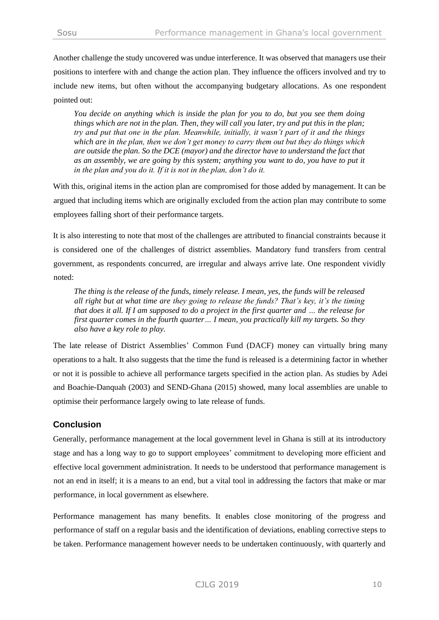Another challenge the study uncovered was undue interference. It was observed that managers use their positions to interfere with and change the action plan. They influence the officers involved and try to include new items, but often without the accompanying budgetary allocations. As one respondent pointed out:

*You decide on anything which is inside the plan for you to do, but you see them doing things which are not in the plan. Then, they will call you later, try and put this in the plan; try and put that one in the plan. Meanwhile, initially, it wasn't part of it and the things which are in the plan, then we don't get money to carry them out but they do things which are outside the plan. So the DCE (mayor) and the director have to understand the fact that as an assembly, we are going by this system; anything you want to do, you have to put it in the plan and you do it. If it is not in the plan, don't do it.* 

With this, original items in the action plan are compromised for those added by management. It can be argued that including items which are originally excluded from the action plan may contribute to some employees falling short of their performance targets.

It is also interesting to note that most of the challenges are attributed to financial constraints because it is considered one of the challenges of district assemblies. Mandatory fund transfers from central government, as respondents concurred, are irregular and always arrive late. One respondent vividly noted:

*The thing is the release of the funds, timely release. I mean, yes, the funds will be released all right but at what time are they going to release the funds? That's key, it's the timing that does it all. If I am supposed to do a project in the first quarter and … the release for first quarter comes in the fourth quarter… I mean, you practically kill my targets. So they also have a key role to play.*

The late release of District Assemblies' Common Fund (DACF) money can virtually bring many operations to a halt. It also suggests that the time the fund is released is a determining factor in whether or not it is possible to achieve all performance targets specified in the action plan. As studies by Adei and Boachie-Danquah (2003) and SEND-Ghana (2015) showed, many local assemblies are unable to optimise their performance largely owing to late release of funds.

## **Conclusion**

Generally, performance management at the local government level in Ghana is still at its introductory stage and has a long way to go to support employees' commitment to developing more efficient and effective local government administration. It needs to be understood that performance management is not an end in itself; it is a means to an end, but a vital tool in addressing the factors that make or mar performance, in local government as elsewhere.

Performance management has many benefits. It enables close monitoring of the progress and performance of staff on a regular basis and the identification of deviations, enabling corrective steps to be taken. Performance management however needs to be undertaken continuously, with quarterly and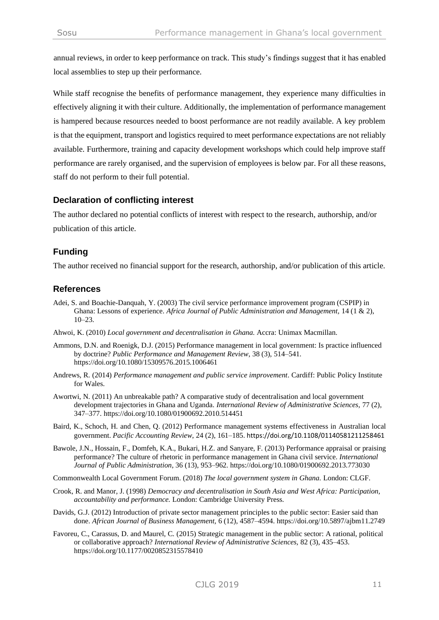annual reviews, in order to keep performance on track. This study's findings suggest that it has enabled local assemblies to step up their performance.

While staff recognise the benefits of performance management, they experience many difficulties in effectively aligning it with their culture. Additionally, the implementation of performance management is hampered because resources needed to boost performance are not readily available. A key problem is that the equipment, transport and logistics required to meet performance expectations are not reliably available. Furthermore, training and capacity development workshops which could help improve staff performance are rarely organised, and the supervision of employees is below par. For all these reasons, staff do not perform to their full potential.

# **Declaration of conflicting interest**

The author declared no potential conflicts of interest with respect to the research, authorship, and/or publication of this article.

# **Funding**

The author received no financial support for the research, authorship, and/or publication of this article.

# **References**

- Adei, S. and Boachie-Danquah, Y. (2003) The civil service performance improvement program (CSPIP) in Ghana: Lessons of experience. *Africa Journal of Public Administration and Management*, 14 (1 & 2), 10–23.
- Ahwoi, K. (2010) *Local government and decentralisation in Ghana.* Accra: Unimax Macmillan.
- Ammons, D.N. and Roenigk, D.J. (2015) Performance management in local government: Is practice influenced by doctrine? *Public Performance and Management Review*, 38 (3), 514–541. <https://doi.org/10.1080/15309576.2015.1006461>
- Andrews, R. (2014) *Performance management and public service improvement*. Cardiff: Public Policy Institute for Wales.
- Awortwi, N. (2011) An unbreakable path? A comparative study of decentralisation and local government development trajectories in Ghana and Uganda. *International Review of Administrative Sciences,* 77 (2), 347–377. <https://doi.org/10.1080/01900692.2010.514451>
- Baird, K., Schoch, H. and Chen, Q. (2012) Performance management systems effectiveness in Australian local government. *Pacific Accounting Review*, 24 (2), 161–185. <https://doi.org/10.1108/01140581211258461>
- Bawole, J.N., Hossain, F., Domfeh, K.A., Bukari, H.Z. and Sanyare, F. (2013) Performance appraisal or praising performance? The culture of rhetoric in performance management in Ghana civil service. *International Journal of Public Administration*, 36 (13), 953–962. <https://doi.org/10.1080/01900692.2013.773030>
- Commonwealth Local Government Forum. (2018) *The local government system in Ghana.* London: CLGF.
- Crook, R. and Manor, J. (1998) *Democracy and decentralisation in South Asia and West Africa: Participation, accountability and performance.* London: Cambridge University Press.
- Davids, G.J. (2012) Introduction of private sector management principles to the public sector: Easier said than done. *African Journal of Business Management,* 6 (12), 4587–4594. <https://doi.org/10.5897/ajbm11.2749>
- Favoreu, C., Carassus, D. and Maurel, C. (2015) Strategic management in the public sector: A rational, political or collaborative approach? *International Review of Administrative Sciences,* 82 (3), 435–453. <https://doi.org/10.1177/0020852315578410>